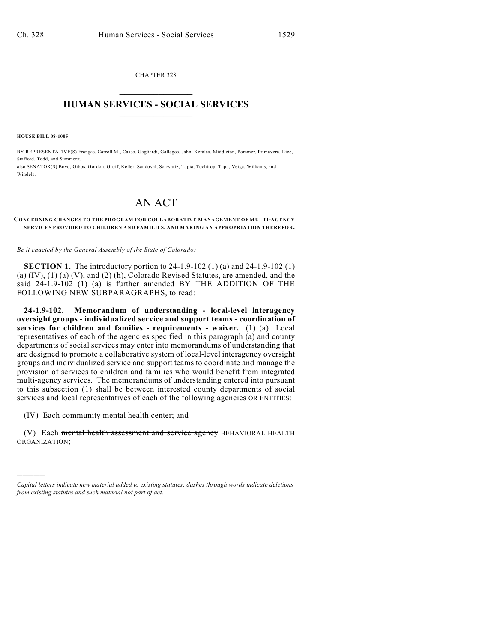CHAPTER 328  $\mathcal{L}_\text{max}$  . The set of the set of the set of the set of the set of the set of the set of the set of the set of the set of the set of the set of the set of the set of the set of the set of the set of the set of the set

## **HUMAN SERVICES - SOCIAL SERVICES**  $\frac{1}{2}$  ,  $\frac{1}{2}$  ,  $\frac{1}{2}$  ,  $\frac{1}{2}$  ,  $\frac{1}{2}$  ,  $\frac{1}{2}$  ,  $\frac{1}{2}$

**HOUSE BILL 08-1005**

)))))

BY REPRESENTATIVE(S) Frangas, Carroll M., Casso, Gagliardi, Gallegos, Jahn, Kefalas, Middleton, Pommer, Primavera, Rice, Stafford, Todd, and Summers; also SENATOR(S) Boyd, Gibbs, Gordon, Groff, Keller, Sandoval, Schwartz, Tapia, Tochtrop, Tupa, Veiga, Williams, and

Windels.

## AN ACT

## **CONCERNING CHANGES TO THE PROGRAM FOR COLLABORATIVE MANAGEMENT OF MULTI-AGENCY SERVICES PROVIDED TO CHILDREN AND FAMILIES, AND MAKING AN APPROPRIATION THEREFOR.**

*Be it enacted by the General Assembly of the State of Colorado:*

**SECTION 1.** The introductory portion to 24-1.9-102 (1) (a) and 24-1.9-102 (1) (a) (IV), (1) (a) (V), and (2) (h), Colorado Revised Statutes, are amended, and the said 24-1.9-102 (1) (a) is further amended BY THE ADDITION OF THE FOLLOWING NEW SUBPARAGRAPHS, to read:

**24-1.9-102. Memorandum of understanding - local-level interagency oversight groups - individualized service and support teams - coordination of services for children and families - requirements - waiver.** (1) (a) Local representatives of each of the agencies specified in this paragraph (a) and county departments of social services may enter into memorandums of understanding that are designed to promote a collaborative system of local-level interagency oversight groups and individualized service and support teams to coordinate and manage the provision of services to children and families who would benefit from integrated multi-agency services. The memorandums of understanding entered into pursuant to this subsection (1) shall be between interested county departments of social services and local representatives of each of the following agencies OR ENTITIES:

(IV) Each community mental health center; and

(V) Each mental health assessment and service agency BEHAVIORAL HEALTH ORGANIZATION;

*Capital letters indicate new material added to existing statutes; dashes through words indicate deletions from existing statutes and such material not part of act.*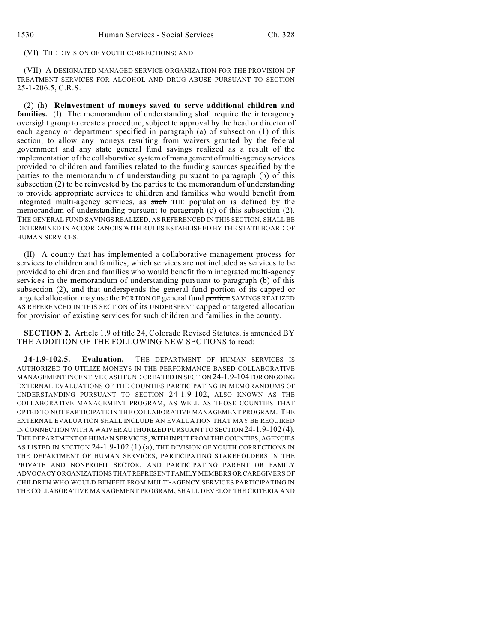## (VI) THE DIVISION OF YOUTH CORRECTIONS; AND

(VII) A DESIGNATED MANAGED SERVICE ORGANIZATION FOR THE PROVISION OF TREATMENT SERVICES FOR ALCOHOL AND DRUG ABUSE PURSUANT TO SECTION 25-1-206.5, C.R.S.

(2) (h) **Reinvestment of moneys saved to serve additional children and families.** (I) The memorandum of understanding shall require the interagency oversight group to create a procedure, subject to approval by the head or director of each agency or department specified in paragraph (a) of subsection (1) of this section, to allow any moneys resulting from waivers granted by the federal government and any state general fund savings realized as a result of the implementation of the collaborative system of management of multi-agency services provided to children and families related to the funding sources specified by the parties to the memorandum of understanding pursuant to paragraph (b) of this subsection (2) to be reinvested by the parties to the memorandum of understanding to provide appropriate services to children and families who would benefit from integrated multi-agency services, as such THE population is defined by the memorandum of understanding pursuant to paragraph (c) of this subsection (2). THE GENERAL FUND SAVINGS REALIZED, AS REFERENCED IN THIS SECTION, SHALL BE DETERMINED IN ACCORDANCES WITH RULES ESTABLISHED BY THE STATE BOARD OF HUMAN SERVICES.

(II) A county that has implemented a collaborative management process for services to children and families, which services are not included as services to be provided to children and families who would benefit from integrated multi-agency services in the memorandum of understanding pursuant to paragraph (b) of this subsection (2), and that underspends the general fund portion of its capped or targeted allocation may use the PORTION OF general fund portion SAVINGS REALIZED AS REFERENCED IN THIS SECTION of its UNDERSPENT capped or targeted allocation for provision of existing services for such children and families in the county.

**SECTION 2.** Article 1.9 of title 24, Colorado Revised Statutes, is amended BY THE ADDITION OF THE FOLLOWING NEW SECTIONS to read:

**24-1.9-102.5. Evaluation.** THE DEPARTMENT OF HUMAN SERVICES IS AUTHORIZED TO UTILIZE MONEYS IN THE PERFORMANCE-BASED COLLABORATIVE MANAGEMENT INCENTIVE CASH FUND CREATED IN SECTION 24-1.9-104 FOR ONGOING EXTERNAL EVALUATIONS OF THE COUNTIES PARTICIPATING IN MEMORANDUMS OF UNDERSTANDING PURSUANT TO SECTION 24-1.9-102, ALSO KNOWN AS THE COLLABORATIVE MANAGEMENT PROGRAM, AS WELL AS THOSE COUNTIES THAT OPTED TO NOT PARTICIPATE IN THE COLLABORATIVE MANAGEMENT PROGRAM. THE EXTERNAL EVALUATION SHALL INCLUDE AN EVALUATION THAT MAY BE REQUIRED IN CONNECTION WITH A WAIVER AUTHORIZED PURSUANT TO SECTION 24-1.9-102 (4). THE DEPARTMENT OF HUMAN SERVICES, WITH INPUT FROM THE COUNTIES, AGENCIES AS LISTED IN SECTION 24-1.9-102 (1) (a), THE DIVISION OF YOUTH CORRECTIONS IN THE DEPARTMENT OF HUMAN SERVICES, PARTICIPATING STAKEHOLDERS IN THE PRIVATE AND NONPROFIT SECTOR, AND PARTICIPATING PARENT OR FAMILY ADVOCACY ORGANIZATIONS THAT REPRESENT FAMILY MEMBERS OR CAREGIVERS OF CHILDREN WHO WOULD BENEFIT FROM MULTI-AGENCY SERVICES PARTICIPATING IN THE COLLABORATIVE MANAGEMENT PROGRAM, SHALL DEVELOP THE CRITERIA AND